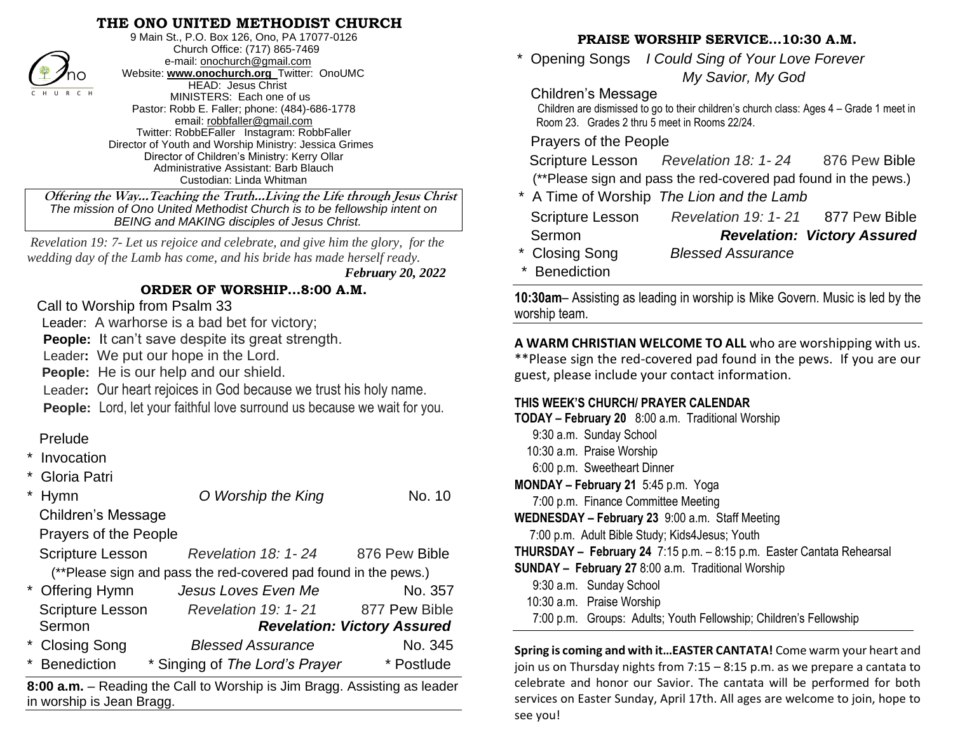## **THE ONO UNITED METHODIST CHURCH**



9 Main St., P.O. Box 126, Ono, PA 17077-0126 Church Office: (717) 865-7469 e-mail[: onochurch@gmail.com](mailto:onochurch@gmail.com) Website: **[www.onochurch.org](http://www.onochurch.org/)** Twitter: OnoUMC HEAD: Jesus Christ MINISTERS: Each one of us Pastor: Robb E. Faller; phone: (484)-686-1778 email: [robbfaller@gmail.com](mailto:robbfaller@gmail.com) Twitter: RobbEFaller Instagram: RobbFaller Director of Youth and Worship Ministry: Jessica Grimes Director of Children's Ministry: Kerry Ollar Administrative Assistant: Barb Blauch Custodian: Linda Whitman

 **Offering the Way…Teaching the Truth…Living the Life through Jesus Christ** *The mission of Ono United Methodist Church is to be fellowship intent on BEING and MAKING disciples of Jesus Christ.* 

*Revelation 19: 7- Let us rejoice and celebrate, and give him the glory, for the wedding day of the Lamb has come, and his bride has made herself ready.*

 *February 20, 2022* 

#### **ORDER OF WORSHIP…8:00 A.M.**

#### Call to Worship from Psalm 33

Leader: A warhorse is a bad bet for victory;

**People:** It can't save despite its great strength.

Leader**:** We put our hope in the Lord.

**People:** He is our help and our shield.

Leader**:** Our heart rejoices in God because we trust his holy name.

**People:** Lord, let your faithful love surround us because we wait for you.

## Prelude

**Invocation** 

|                                                                                                        | Gloria Patri            |                                                                 |                                    |  |  |
|--------------------------------------------------------------------------------------------------------|-------------------------|-----------------------------------------------------------------|------------------------------------|--|--|
| $\star$                                                                                                | <b>Hymn</b>             | O Worship the King                                              | No. 10                             |  |  |
|                                                                                                        | Children's Message      |                                                                 |                                    |  |  |
|                                                                                                        | Prayers of the People   |                                                                 |                                    |  |  |
|                                                                                                        | <b>Scripture Lesson</b> | <b>Revelation 18: 1-24</b>                                      | 876 Pew Bible                      |  |  |
|                                                                                                        |                         | (**Please sign and pass the red-covered pad found in the pews.) |                                    |  |  |
|                                                                                                        | * Offering Hymn         | Jesus Loves Even Me                                             | No. 357                            |  |  |
|                                                                                                        | Scripture Lesson        | <b>Revelation 19: 1-21</b>                                      | 877 Pew Bible                      |  |  |
|                                                                                                        | Sermon                  |                                                                 | <b>Revelation: Victory Assured</b> |  |  |
|                                                                                                        | * Closing Song          | <b>Blessed Assurance</b>                                        | No. 345                            |  |  |
| *                                                                                                      | <b>Benediction</b>      | * Singing of The Lord's Prayer                                  | * Postlude                         |  |  |
| 8:00 a.m. – Reading the Call to Worship is Jim Bragg. Assisting as leader<br>in worship is Jean Bragg. |                         |                                                                 |                                    |  |  |
|                                                                                                        |                         |                                                                 |                                    |  |  |

## **PRAISE WORSHIP SERVICE…10:30 A.M.**

 \* Opening Songs *I Could Sing of Your Love Forever My Savior, My God*

#### Children's Message

 Children are dismissed to go to their children's church class: Ages 4 – Grade 1 meet in Room 23. Grades 2 thru 5 meet in Rooms 22/24.

Prayers of the People

| Scripture Lesson | Revelation 18: 1-24                                             | 876 Pew Bible |
|------------------|-----------------------------------------------------------------|---------------|
|                  | (**Please sign and pass the red-covered pad found in the pews.) |               |
|                  | * A Time of Worship The Lion and the Lamb                       |               |
|                  |                                                                 |               |

| <b>Scripture Lesson</b> | <b>Revelation 19: 1-21</b> | 877 Pew Bible                      |
|-------------------------|----------------------------|------------------------------------|
| Sermon                  |                            | <b>Revelation: Victory Assured</b> |
| * Closing Song          | Rlaccad Accuranca          |                                    |

- \* Closing Song *Blessed Assurance*
- **Benediction**

**10:30am**– Assisting as leading in worship is Mike Govern. Music is led by the worship team.

**A WARM CHRISTIAN WELCOME TO ALL** who are worshipping with us. \*\*Please sign the red-covered pad found in the pews. If you are our guest, please include your contact information.

## **THIS WEEK'S CHURCH/ PRAYER CALENDAR**

| TODAY - February 20 8:00 a.m. Traditional Worship                     |  |  |  |  |  |  |
|-----------------------------------------------------------------------|--|--|--|--|--|--|
| 9:30 a.m. Sunday School                                               |  |  |  |  |  |  |
| 10:30 a.m. Praise Worship                                             |  |  |  |  |  |  |
| 6:00 p.m. Sweetheart Dinner                                           |  |  |  |  |  |  |
| MONDAY - February 21 5:45 p.m. Yoga                                   |  |  |  |  |  |  |
| 7:00 p.m. Finance Committee Meeting                                   |  |  |  |  |  |  |
| <b>WEDNESDAY - February 23</b> 9:00 a.m. Staff Meeting                |  |  |  |  |  |  |
| 7:00 p.m. Adult Bible Study; Kids4 Jesus; Youth                       |  |  |  |  |  |  |
| THURSDAY - February 24 7:15 p.m. - 8:15 p.m. Easter Cantata Rehearsal |  |  |  |  |  |  |
| <b>SUNDAY - February 27</b> 8:00 a.m. Traditional Worship             |  |  |  |  |  |  |
| 9:30 a.m. Sunday School                                               |  |  |  |  |  |  |
| 10:30 a.m. Praise Worship                                             |  |  |  |  |  |  |
| 7:00 p.m. Groups: Adults; Youth Fellowship; Children's Fellowship     |  |  |  |  |  |  |
|                                                                       |  |  |  |  |  |  |

**Spring is coming and with it…EASTER CANTATA!** Come warm your heart and join us on Thursday nights from 7:15 – 8:15 p.m. as we prepare a cantata to celebrate and honor our Savior. The cantata will be performed for both services on Easter Sunday, April 17th. All ages are welcome to join, hope to see you!